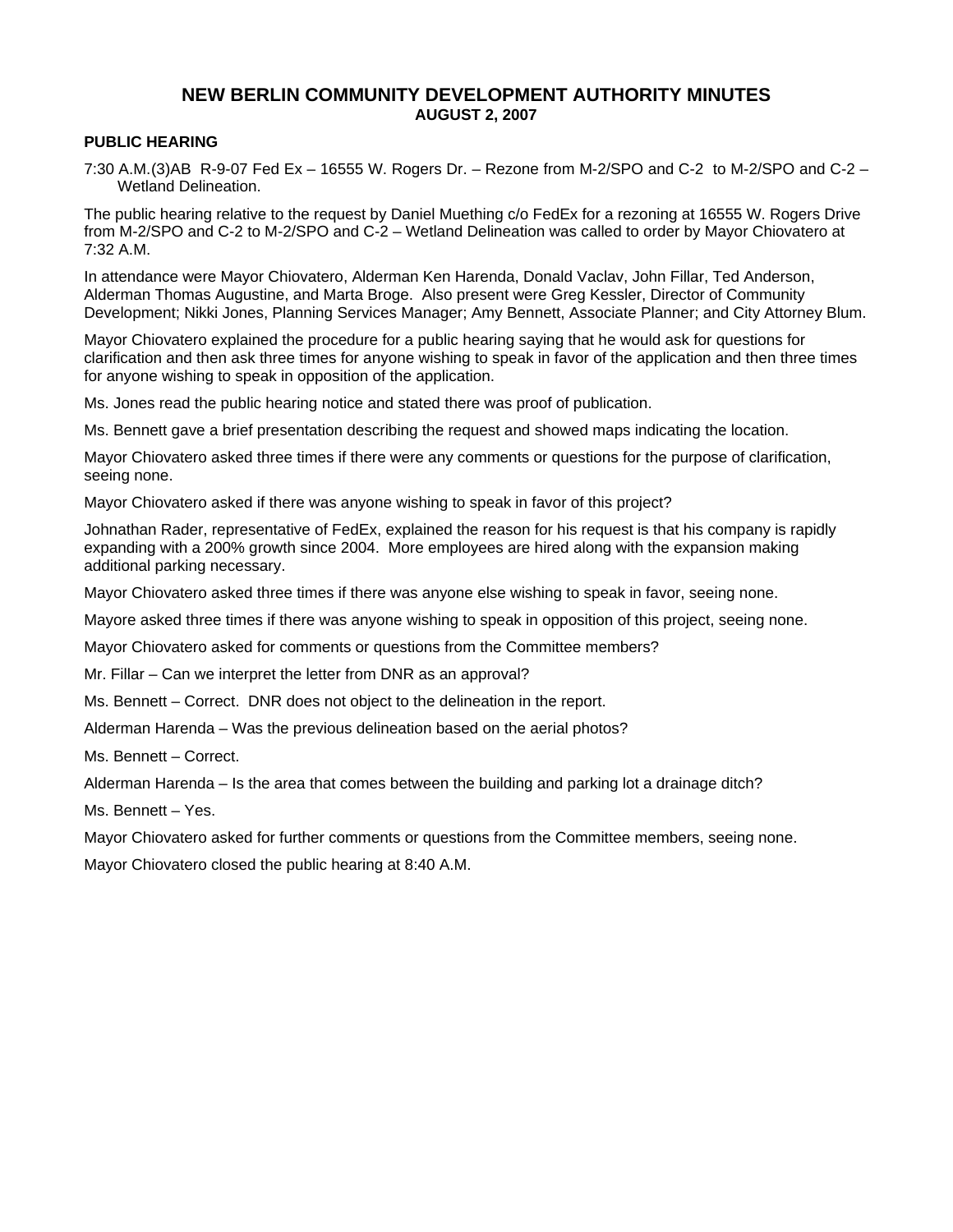# **NEW BERLIN COMMUNITY DEVELOPMENT AUTHORITY MINUTES AUGUST 2, 2007**

### **PUBLIC HEARING**

7:30 A.M. (3)AB R-9-07 Fed Ex – 16555 W. Rogers Dr. – Rezone from M-2/SPO and C-2 to M-2/SPO and C-2 – Wetland Delineation.

The public hearing relative to the request by Daniel Muething c/o FedEx for a rezoning at 16555 W. Rogers Drive from M-2/SPO and C-2 to M-2/SPO and C-2 – Wetland Delineation was called to order by Mayor Chiovatero at 7:32 A.M.

In attendance were Mayor Chiovatero, Alderman Ken Harenda, Donald Vaclav, John Fillar, Ted Anderson, Alderman Thomas Augustine, and Marta Broge. Also present were Greg Kessler, Director of Community Development; Nikki Jones, Planning Services Manager; Amy Bennett, Associate Planner; and City Attorney Blum.

Mayor Chiovatero explained the procedure for a public hearing saying that he would ask for questions for clarification and then ask three times for anyone wishing to speak in favor of the application and then three times for anyone wishing to speak in opposition of the application.

Ms. Jones read the public hearing notice and stated there was proof of publication.

Ms. Bennett gave a brief presentation describing the request and showed maps indicating the location.

Mayor Chiovatero asked three times if there were any comments or questions for the purpose of clarification, seeing none.

Mayor Chiovatero asked if there was anyone wishing to speak in favor of this project?

Johnathan Rader, representative of FedEx, explained the reason for his request is that his company is rapidly expanding with a 200% growth since 2004. More employees are hired along with the expansion making additional parking necessary.

Mayor Chiovatero asked three times if there was anyone else wishing to speak in favor, seeing none.

Mayore asked three times if there was anyone wishing to speak in opposition of this project, seeing none.

Mayor Chiovatero asked for comments or questions from the Committee members?

Mr. Fillar – Can we interpret the letter from DNR as an approval?

Ms. Bennett – Correct. DNR does not object to the delineation in the report.

Alderman Harenda – Was the previous delineation based on the aerial photos?

Ms. Bennett – Correct.

Alderman Harenda – Is the area that comes between the building and parking lot a drainage ditch?

Ms. Bennett – Yes.

Mayor Chiovatero asked for further comments or questions from the Committee members, seeing none.

Mayor Chiovatero closed the public hearing at 8:40 A.M.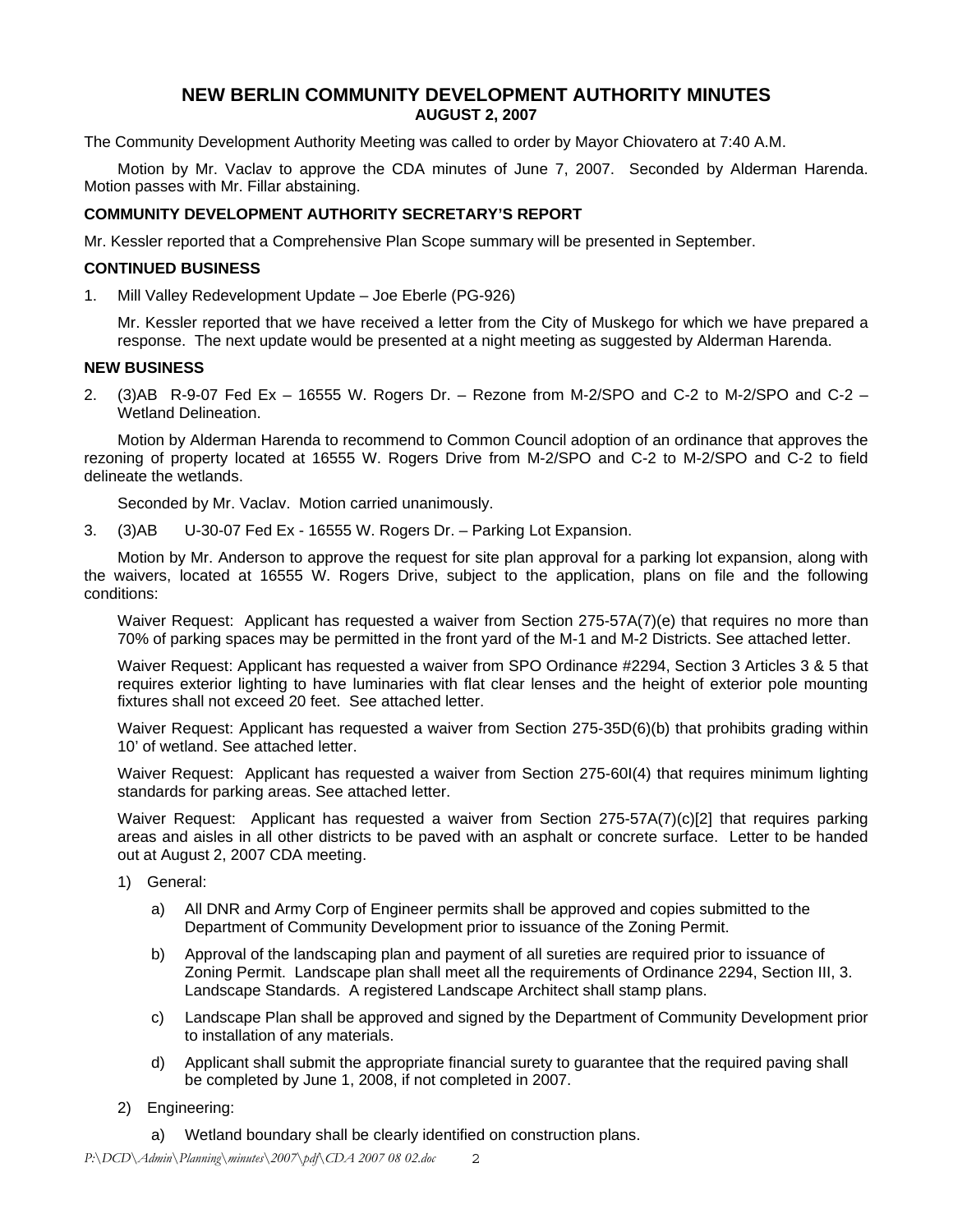# **NEW BERLIN COMMUNITY DEVELOPMENT AUTHORITY MINUTES AUGUST 2, 2007**

The Community Development Authority Meeting was called to order by Mayor Chiovatero at 7:40 A.M.

Motion by Mr. Vaclav to approve the CDA minutes of June 7, 2007. Seconded by Alderman Harenda. Motion passes with Mr. Fillar abstaining.

### **COMMUNITY DEVELOPMENT AUTHORITY SECRETARY'S REPORT**

Mr. Kessler reported that a Comprehensive Plan Scope summary will be presented in September.

#### **CONTINUED BUSINESS**

1. Mill Valley Redevelopment Update – Joe Eberle (PG-926)

Mr. Kessler reported that we have received a letter from the City of Muskego for which we have prepared a response. The next update would be presented at a night meeting as suggested by Alderman Harenda.

### **NEW BUSINESS**

2. (3)AB R-9-07 Fed Ex – 16555 W. Rogers Dr. – Rezone from M-2/SPO and C-2 to M-2/SPO and C-2 – Wetland Delineation.

Motion by Alderman Harenda to recommend to Common Council adoption of an ordinance that approves the rezoning of property located at 16555 W. Rogers Drive from M-2/SPO and C-2 to M-2/SPO and C-2 to field delineate the wetlands.

Seconded by Mr. Vaclav. Motion carried unanimously.

3. (3)AB U-30-07 Fed Ex - 16555 W. Rogers Dr. – Parking Lot Expansion.

Motion by Mr. Anderson to approve the request for site plan approval for a parking lot expansion, along with the waivers, located at 16555 W. Rogers Drive, subject to the application, plans on file and the following conditions:

Waiver Request: Applicant has requested a waiver from Section 275-57A(7)(e) that requires no more than 70% of parking spaces may be permitted in the front yard of the M-1 and M-2 Districts. See attached letter.

Waiver Request: Applicant has requested a waiver from SPO Ordinance #2294, Section 3 Articles 3 & 5 that requires exterior lighting to have luminaries with flat clear lenses and the height of exterior pole mounting fixtures shall not exceed 20 feet. See attached letter.

Waiver Request: Applicant has requested a waiver from Section 275-35D(6)(b) that prohibits grading within 10' of wetland. See attached letter.

Waiver Request: Applicant has requested a waiver from Section 275-60I(4) that requires minimum lighting standards for parking areas. See attached letter.

Waiver Request: Applicant has requested a waiver from Section 275-57A(7)(c)[2] that requires parking areas and aisles in all other districts to be paved with an asphalt or concrete surface. Letter to be handed out at August 2, 2007 CDA meeting.

- 1) General:
	- a) All DNR and Army Corp of Engineer permits shall be approved and copies submitted to the Department of Community Development prior to issuance of the Zoning Permit.
	- b) Approval of the landscaping plan and payment of all sureties are required prior to issuance of Zoning Permit. Landscape plan shall meet all the requirements of Ordinance 2294, Section III, 3. Landscape Standards. A registered Landscape Architect shall stamp plans.
	- c) Landscape Plan shall be approved and signed by the Department of Community Development prior to installation of any materials.
	- d) Applicant shall submit the appropriate financial surety to guarantee that the required paving shall be completed by June 1, 2008, if not completed in 2007.
- 2) Engineering:
	- a) Wetland boundary shall be clearly identified on construction plans.